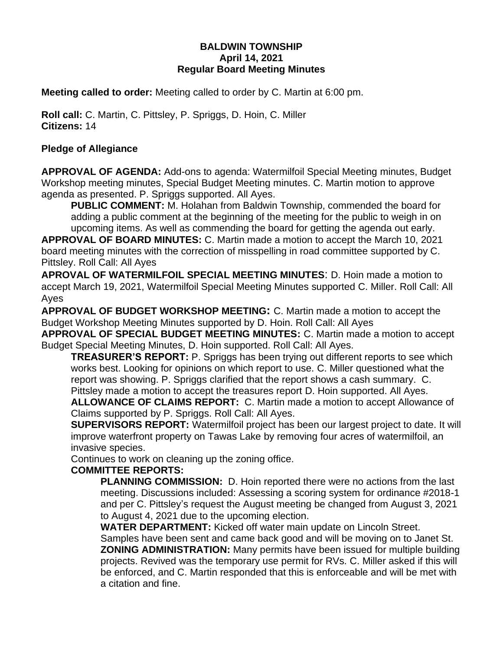### **BALDWIN TOWNSHIP April 14, 2021 Regular Board Meeting Minutes**

**Meeting called to order:** Meeting called to order by C. Martin at 6:00 pm.

**Roll call:** C. Martin, C. Pittsley, P. Spriggs, D. Hoin, C. Miller **Citizens:** 14

## **Pledge of Allegiance**

**APPROVAL OF AGENDA:** Add-ons to agenda: Watermilfoil Special Meeting minutes, Budget Workshop meeting minutes, Special Budget Meeting minutes. C. Martin motion to approve agenda as presented. P. Spriggs supported. All Ayes.

**PUBLIC COMMENT:** M. Holahan from Baldwin Township, commended the board for adding a public comment at the beginning of the meeting for the public to weigh in on upcoming items. As well as commending the board for getting the agenda out early.

**APPROVAL OF BOARD MINUTES:** C. Martin made a motion to accept the March 10, 2021 board meeting minutes with the correction of misspelling in road committee supported by C. Pittsley. Roll Call: All Ayes

**APROVAL OF WATERMILFOIL SPECIAL MEETING MINUTES**: D. Hoin made a motion to accept March 19, 2021, Watermilfoil Special Meeting Minutes supported C. Miller. Roll Call: All Ayes

**APPROVAL OF BUDGET WORKSHOP MEETING:** C. Martin made a motion to accept the Budget Workshop Meeting Minutes supported by D. Hoin. Roll Call: All Ayes

**APPROVAL OF SPECIAL BUDGET MEETING MINUTES:** C. Martin made a motion to accept Budget Special Meeting Minutes, D. Hoin supported. Roll Call: All Ayes.

**TREASURER'S REPORT:** P. Spriggs has been trying out different reports to see which works best. Looking for opinions on which report to use. C. Miller questioned what the report was showing. P. Spriggs clarified that the report shows a cash summary. C. Pittsley made a motion to accept the treasures report D. Hoin supported. All Ayes.

**ALLOWANCE OF CLAIMS REPORT:** C. Martin made a motion to accept Allowance of Claims supported by P. Spriggs. Roll Call: All Ayes.

**SUPERVISORS REPORT:** Watermilfoil project has been our largest project to date. It will improve waterfront property on Tawas Lake by removing four acres of watermilfoil, an invasive species.

Continues to work on cleaning up the zoning office.

### **COMMITTEE REPORTS:**

**PLANNING COMMISSION:** D. Hoin reported there were no actions from the last meeting. Discussions included: Assessing a scoring system for ordinance #2018-1 and per C. Pittsley's request the August meeting be changed from August 3, 2021 to August 4, 2021 due to the upcoming election.

**WATER DEPARTMENT:** Kicked off water main update on Lincoln Street. Samples have been sent and came back good and will be moving on to Janet St. **ZONING ADMINISTRATION:** Many permits have been issued for multiple building projects. Revived was the temporary use permit for RVs. C. Miller asked if this will be enforced, and C. Martin responded that this is enforceable and will be met with a citation and fine.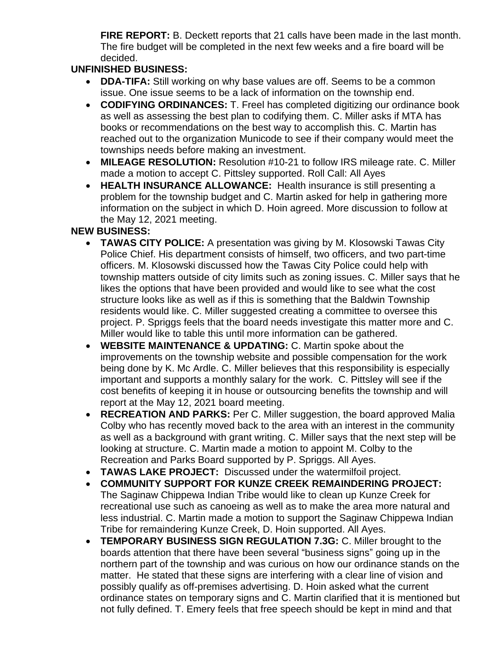**FIRE REPORT:** B. Deckett reports that 21 calls have been made in the last month. The fire budget will be completed in the next few weeks and a fire board will be decided.

# **UNFINISHED BUSINESS:**

- **DDA-TIFA:** Still working on why base values are off. Seems to be a common issue. One issue seems to be a lack of information on the township end.
- **CODIFYING ORDINANCES:** T. Freel has completed digitizing our ordinance book as well as assessing the best plan to codifying them. C. Miller asks if MTA has books or recommendations on the best way to accomplish this. C. Martin has reached out to the organization Municode to see if their company would meet the townships needs before making an investment.
- **MILEAGE RESOLUTION:** Resolution #10-21 to follow IRS mileage rate. C. Miller made a motion to accept C. Pittsley supported. Roll Call: All Ayes
- **HEALTH INSURANCE ALLOWANCE:** Health insurance is still presenting a problem for the township budget and C. Martin asked for help in gathering more information on the subject in which D. Hoin agreed. More discussion to follow at the May 12, 2021 meeting.

## **NEW BUSINESS:**

- **TAWAS CITY POLICE:** A presentation was giving by M. Klosowski Tawas City Police Chief. His department consists of himself, two officers, and two part-time officers. M. Klosowski discussed how the Tawas City Police could help with township matters outside of city limits such as zoning issues. C. Miller says that he likes the options that have been provided and would like to see what the cost structure looks like as well as if this is something that the Baldwin Township residents would like. C. Miller suggested creating a committee to oversee this project. P. Spriggs feels that the board needs investigate this matter more and C. Miller would like to table this until more information can be gathered.
- **WEBSITE MAINTENANCE & UPDATING:** C. Martin spoke about the improvements on the township website and possible compensation for the work being done by K. Mc Ardle. C. Miller believes that this responsibility is especially important and supports a monthly salary for the work. C. Pittsley will see if the cost benefits of keeping it in house or outsourcing benefits the township and will report at the May 12, 2021 board meeting.
- **RECREATION AND PARKS:** Per C. Miller suggestion, the board approved Malia Colby who has recently moved back to the area with an interest in the community as well as a background with grant writing. C. Miller says that the next step will be looking at structure. C. Martin made a motion to appoint M. Colby to the Recreation and Parks Board supported by P. Spriggs. All Ayes.
- **TAWAS LAKE PROJECT:** Discussed under the watermilfoil project.
- **COMMUNITY SUPPORT FOR KUNZE CREEK REMAINDERING PROJECT:** The Saginaw Chippewa Indian Tribe would like to clean up Kunze Creek for recreational use such as canoeing as well as to make the area more natural and less industrial. C. Martin made a motion to support the Saginaw Chippewa Indian Tribe for remaindering Kunze Creek, D. Hoin supported. All Ayes.
- **TEMPORARY BUSINESS SIGN REGULATION 7.3G:** C. Miller brought to the boards attention that there have been several "business signs" going up in the northern part of the township and was curious on how our ordinance stands on the matter. He stated that these signs are interfering with a clear line of vision and possibly qualify as off-premises advertising. D. Hoin asked what the current ordinance states on temporary signs and C. Martin clarified that it is mentioned but not fully defined. T. Emery feels that free speech should be kept in mind and that